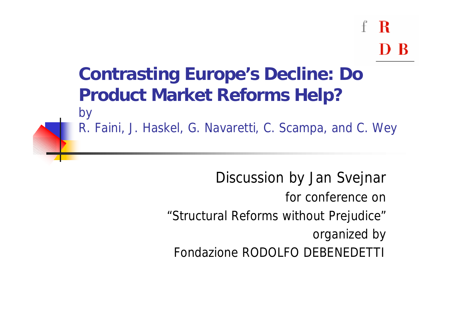#### **Contrasting Europe's Decline: Do Product Market Reforms Help?**

by R. Faini, J. Haskel, G. Navaretti, C. Scampa, and C. Wey

> Discussion by Jan Svejnar for conference on "*Structural Reforms without Prejudice*" organized by *Fondazione RODOLFO DEBENEDETTI*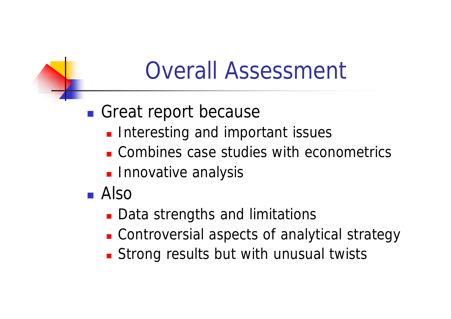### Overall Assessment

#### **n** Great report because

- **n** Interesting and important issues
- **n** Combines case studies with econometrics
- **n** Innovative analysis
- <sup>n</sup> Also
	- **Data strengths and limitations**
	- **EXECOEDERVIER CONTROVERSIAL aspects of analytical strategy**
	- **Extraor Strong results but with unusual twists**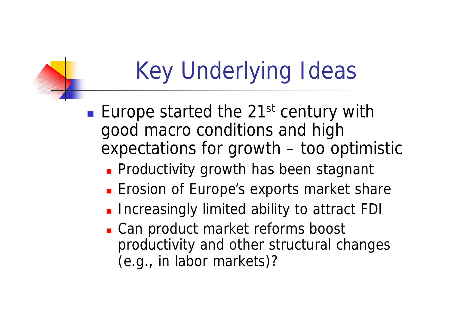# Key Underlying Ideas

**Europe started the 21st century with** good macro conditions and high expectations for growth – too optimistic

- **Productivity growth has been stagnant**
- **Exercise 1 Enrope's exports market share**
- **n** Increasingly limited ability to attract FDI
- Can product market reforms boost productivity and other structural changes (e.g., in labor markets)?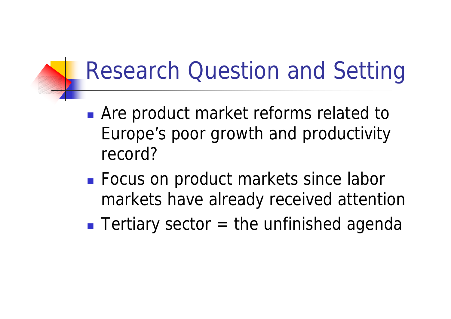### Research Question and Setting

- **n** Are product market reforms related to Europe's poor growth and productivity record?
- **Focus on product markets since labor** markets have already received attention
- **n** Tertiary sector  $=$  the unfinished agenda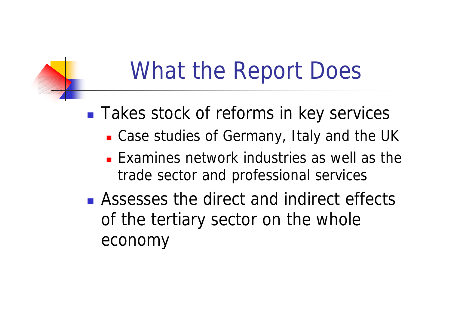### What the Report Does

■ Takes stock of reforms in key services

- Case studies of Germany, Italy and the UK
- $\blacksquare$  Examines network industries as well as the trade sector and professional services
- **n** Assesses the direct and indirect effects of the tertiary sector on the whole economy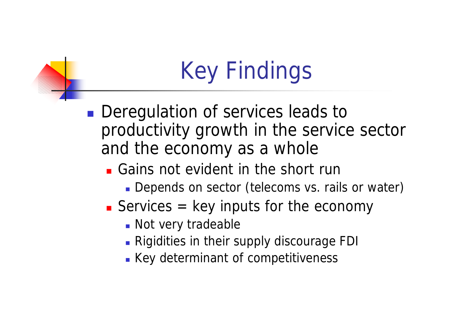# Key Findings

**Deregulation of services leads to** productivity growth in the service sector and the economy as a whole

- <sup>n</sup> Gains not evident in the short run
	- Depends on sector (telecoms vs. rails or water)
- Services  $=$  key inputs for the economy
	- Not very tradeable
	- **Rigidities in their supply discourage FDI**
	- **Key determinant of competitiveness**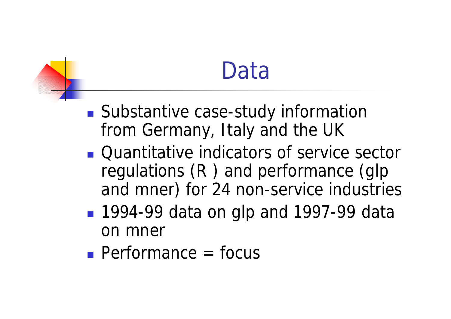### Data

- Substantive case-study information from Germany, Italy and the UK
- **n** Quantitative indicators of service sector regulations (*R* ) and performance (*glp* and *mner*) for 24 non-service industries
- <sup>n</sup> 1994-99 data on *glp and 1997-99 data on mner*
- $\blacksquare$  Performance = focus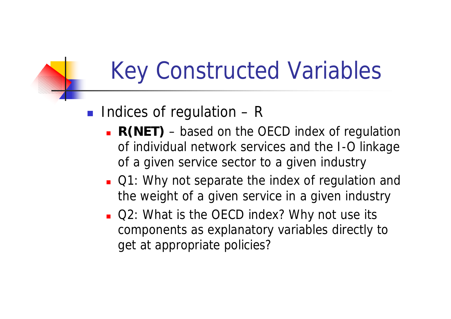## Key Constructed Variables

#### **n** Indices of regulation  $-R$

- **R(NET)** based on the OECD index of regulation of individual network services and the I-O linkage of a given service sector to a given industry
- **Q1: Why not separate the index of regulation and** the weight of a given service in a given industry
- **Q2: What is the OECD index? Why not use its** components as explanatory variables directly to get at appropriate policies?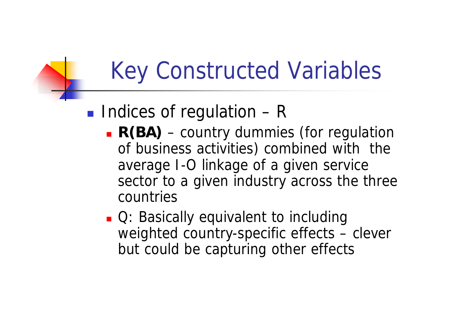# Key Constructed Variables

#### **n** Indices of regulation  $-R$

- **R(BA)** country dummies (for regulation of business activities) combined with the average I-O linkage of a given service sector to a given industry across the three countries
- **n** Q: Basically equivalent to including weighted country-specific effects – clever but could be capturing other effects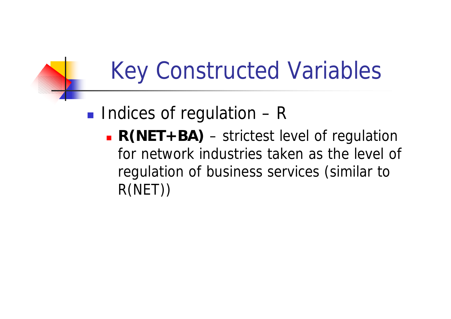# Key Constructed Variables

#### **n** Indices of regulation  $-R$

**R(NET+BA)** – strictest level of regulation for network industries taken as the level of regulation of business services (similar to R(NET))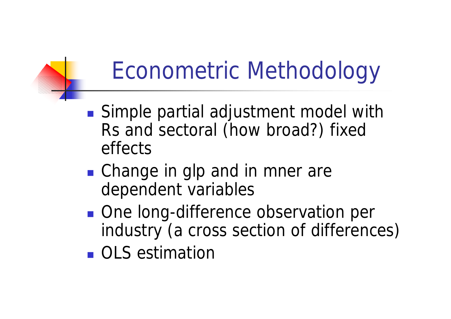# Econometric Methodology

- Simple partial adjustment model with Rs and sectoral (how broad?) fixed effects
- Change in *glp* and in *mner* are dependent variables
- One long-difference observation per industry (a cross section of differences)
- <sup>n</sup> OLS estimation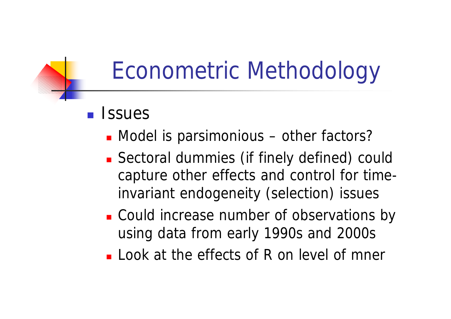### Econometric Methodology

- n Issues
	- Model is parsimonious other factors?
	- **Example 1** Sectoral dummies (if finely defined) could capture other effects and control for timeinvariant endogeneity (selection) issues
	- **.** Could increase number of observations by using data from early 1990s and 2000s
	- Look at the effects of R on level of *mner*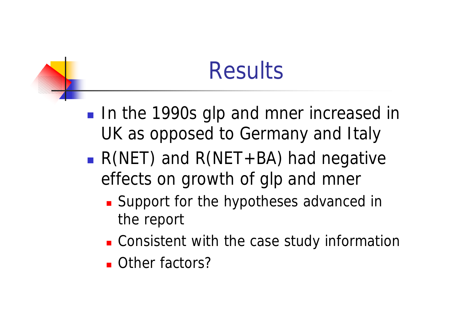### **Results**

- **n** In the 1990s *glp* and *mner* increased in UK as opposed to Germany and Italy
- *R(NET)* and *R(NET+BA)* had negative effects on growth of *glp* and *mner*
	- **Example 1 Support for the hypotheses advanced in** the report
	- **.** Consistent with the case study information
	- **n** Other factors?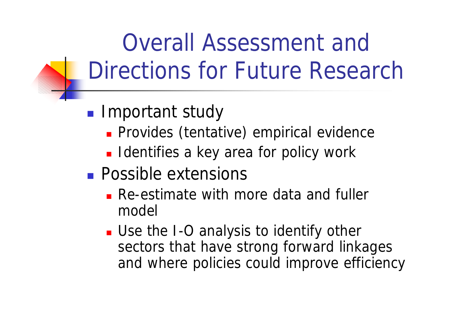Overall Assessment and Directions for Future Research

- **n** Important study
	- **n** Provides (tentative) empirical evidence
	- **n** Identifies a key area for policy work
- **n** Possible extensions
	- **Re-estimate with more data and fuller** model
	- **Domally Use the I-O analysis to identify other** sectors that have strong forward linkages and where policies could improve efficiency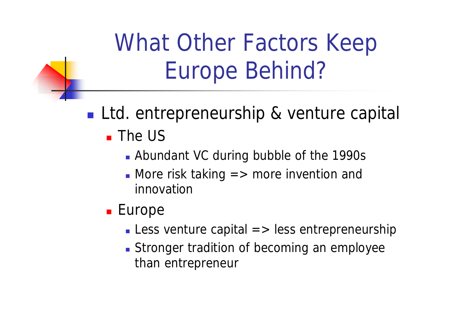- **Ltd. entrepreneurship & venture capital**  $\blacksquare$  The US
	- **Abundant VC during bubble of the 1990s**
	- $\blacksquare$  More risk taking  $\spadesuit$  more invention and innovation
	- **Europe** 
		- **Less venture capital**  $\Rightarrow$  **less entrepreneurship**
		- **Stronger tradition of becoming an employee** than entrepreneur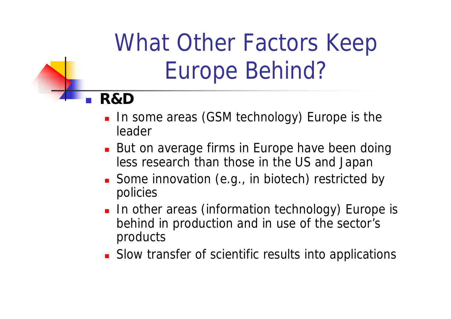#### <sup>n</sup> **R&D**

- **n** In some areas (GSM technology) Europe is the leader
- But on average firms in Europe have been doing less research than those in the US and Japan
- Some innovation (e.g., in biotech) restricted by policies
- **n** In other areas (information technology) Europe is behind in production and in use of the sector's products
- **.** Slow transfer of scientific results into applications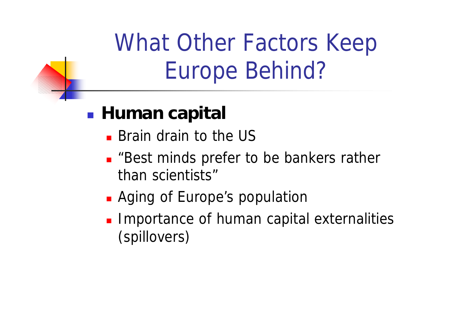#### **n** Human capital

- **Example 15 and Brain drain to the US**
- **Best minds prefer to be bankers rather** than scientists"
- **Aging of Europe's population**
- **n** Importance of human capital externalities (spillovers)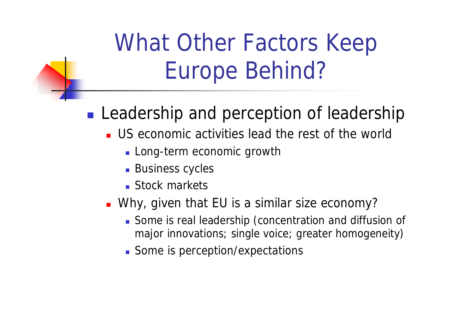#### **Leadership and perception of leadership**

- **US** economic activities lead the rest of the world
	- **Long-term economic growth**
	- **Business cycles**
	- **n** Stock markets
- **Notal EU** is a similar size economy?
	- **Some is real leadership (concentration and diffusion of** major innovations; single voice; greater homogeneity)
	- Some is perception/expectations